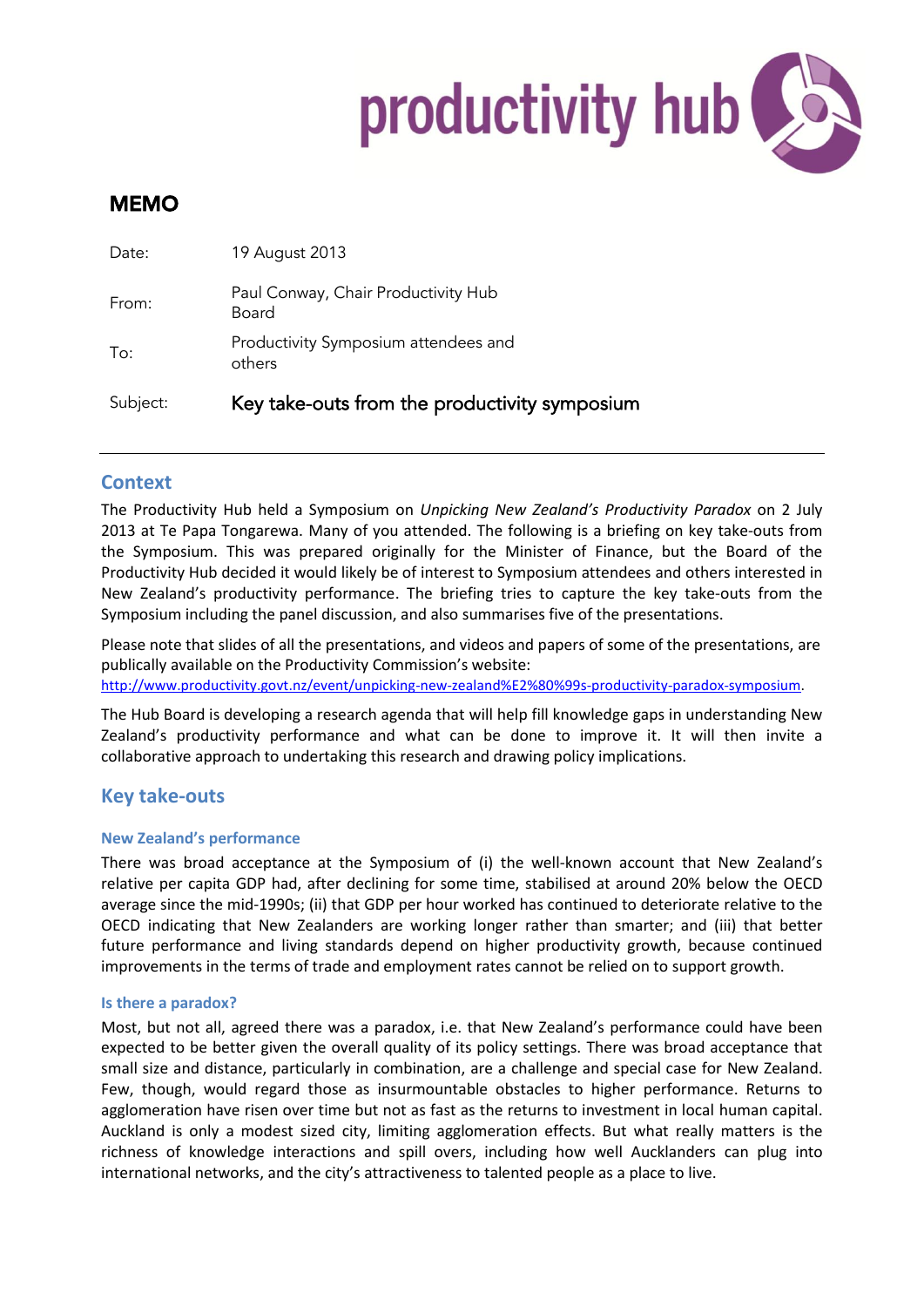

# **MEMO**

| Subject: | Key take-outs from the productivity symposium  |
|----------|------------------------------------------------|
| To:      | Productivity Symposium attendees and<br>others |
| From:    | Paul Conway, Chair Productivity Hub<br>Board   |
| Date:    | 19 August 2013                                 |

## **Context**

The Productivity Hub held a Symposium on *Unpicking New Zealand's Productivity Paradox* on 2 July 2013 at Te Papa Tongarewa. Many of you attended. The following is a briefing on key take-outs from the Symposium. This was prepared originally for the Minister of Finance, but the Board of the Productivity Hub decided it would likely be of interest to Symposium attendees and others interested in New Zealand's productivity performance. The briefing tries to capture the key take-outs from the Symposium including the panel discussion, and also summarises five of the presentations.

Please note that slides of all the presentations, and videos and papers of some of the presentations, are publically available on the Productivity Commission's website: [http://www.productivity.govt.nz/event/unpicking-new-zealand%E2%80%99s-productivity-paradox-symposium.](http://www.productivity.govt.nz/event/unpicking-new-zealand%E2%80%99s-productivity-paradox-symposium)

The Hub Board is developing a research agenda that will help fill knowledge gaps in understanding New Zealand's productivity performance and what can be done to improve it. It will then invite a collaborative approach to undertaking this research and drawing policy implications.

# **Key take-outs**

### **New Zealand's performance**

There was broad acceptance at the Symposium of (i) the well-known account that New Zealand's relative per capita GDP had, after declining for some time, stabilised at around 20% below the OECD average since the mid-1990s; (ii) that GDP per hour worked has continued to deteriorate relative to the OECD indicating that New Zealanders are working longer rather than smarter; and (iii) that better future performance and living standards depend on higher productivity growth, because continued improvements in the terms of trade and employment rates cannot be relied on to support growth.

### **Is there a paradox?**

Most, but not all, agreed there was a paradox, i.e. that New Zealand's performance could have been expected to be better given the overall quality of its policy settings. There was broad acceptance that small size and distance, particularly in combination, are a challenge and special case for New Zealand. Few, though, would regard those as insurmountable obstacles to higher performance. Returns to agglomeration have risen over time but not as fast as the returns to investment in local human capital. Auckland is only a modest sized city, limiting agglomeration effects. But what really matters is the richness of knowledge interactions and spill overs, including how well Aucklanders can plug into international networks, and the city's attractiveness to talented people as a place to live.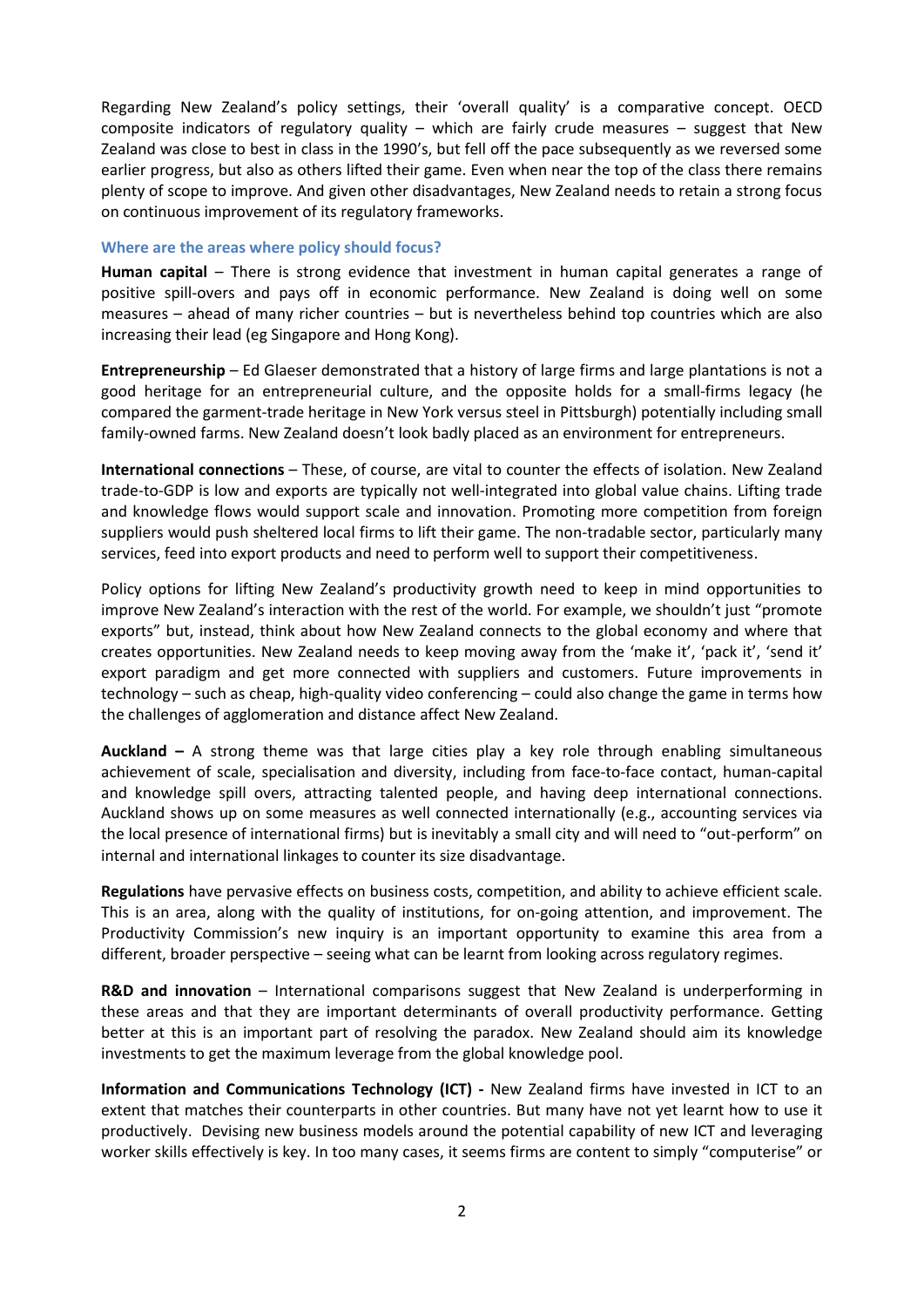Regarding New Zealand's policy settings, their 'overall quality' is a comparative concept. OECD composite indicators of regulatory quality – which are fairly crude measures – suggest that New Zealand was close to best in class in the 1990's, but fell off the pace subsequently as we reversed some earlier progress, but also as others lifted their game. Even when near the top of the class there remains plenty of scope to improve. And given other disadvantages, New Zealand needs to retain a strong focus on continuous improvement of its regulatory frameworks.

### **Where are the areas where policy should focus?**

**Human capital** – There is strong evidence that investment in human capital generates a range of positive spill-overs and pays off in economic performance. New Zealand is doing well on some measures – ahead of many richer countries – but is nevertheless behind top countries which are also increasing their lead (eg Singapore and Hong Kong).

**Entrepreneurship** – Ed Glaeser demonstrated that a history of large firms and large plantations is not a good heritage for an entrepreneurial culture, and the opposite holds for a small-firms legacy (he compared the garment-trade heritage in New York versus steel in Pittsburgh) potentially including small family-owned farms. New Zealand doesn't look badly placed as an environment for entrepreneurs.

**International connections** – These, of course, are vital to counter the effects of isolation. New Zealand trade-to-GDP is low and exports are typically not well-integrated into global value chains. Lifting trade and knowledge flows would support scale and innovation. Promoting more competition from foreign suppliers would push sheltered local firms to lift their game. The non-tradable sector, particularly many services, feed into export products and need to perform well to support their competitiveness.

Policy options for lifting New Zealand's productivity growth need to keep in mind opportunities to improve New Zealand's interaction with the rest of the world. For example, we shouldn't just "promote exports" but, instead, think about how New Zealand connects to the global economy and where that creates opportunities. New Zealand needs to keep moving away from the 'make it', 'pack it', 'send it' export paradigm and get more connected with suppliers and customers. Future improvements in technology – such as cheap, high-quality video conferencing – could also change the game in terms how the challenges of agglomeration and distance affect New Zealand.

**Auckland –** A strong theme was that large cities play a key role through enabling simultaneous achievement of scale, specialisation and diversity, including from face-to-face contact, human-capital and knowledge spill overs, attracting talented people, and having deep international connections. Auckland shows up on some measures as well connected internationally (e.g., accounting services via the local presence of international firms) but is inevitably a small city and will need to "out-perform" on internal and international linkages to counter its size disadvantage.

**Regulations** have pervasive effects on business costs, competition, and ability to achieve efficient scale. This is an area, along with the quality of institutions, for on-going attention, and improvement. The Productivity Commission's new inquiry is an important opportunity to examine this area from a different, broader perspective – seeing what can be learnt from looking across regulatory regimes.

**R&D and innovation** – International comparisons suggest that New Zealand is underperforming in these areas and that they are important determinants of overall productivity performance. Getting better at this is an important part of resolving the paradox. New Zealand should aim its knowledge investments to get the maximum leverage from the global knowledge pool.

**Information and Communications Technology (ICT) -** New Zealand firms have invested in ICT to an extent that matches their counterparts in other countries. But many have not yet learnt how to use it productively. Devising new business models around the potential capability of new ICT and leveraging worker skills effectively is key. In too many cases, it seems firms are content to simply "computerise" or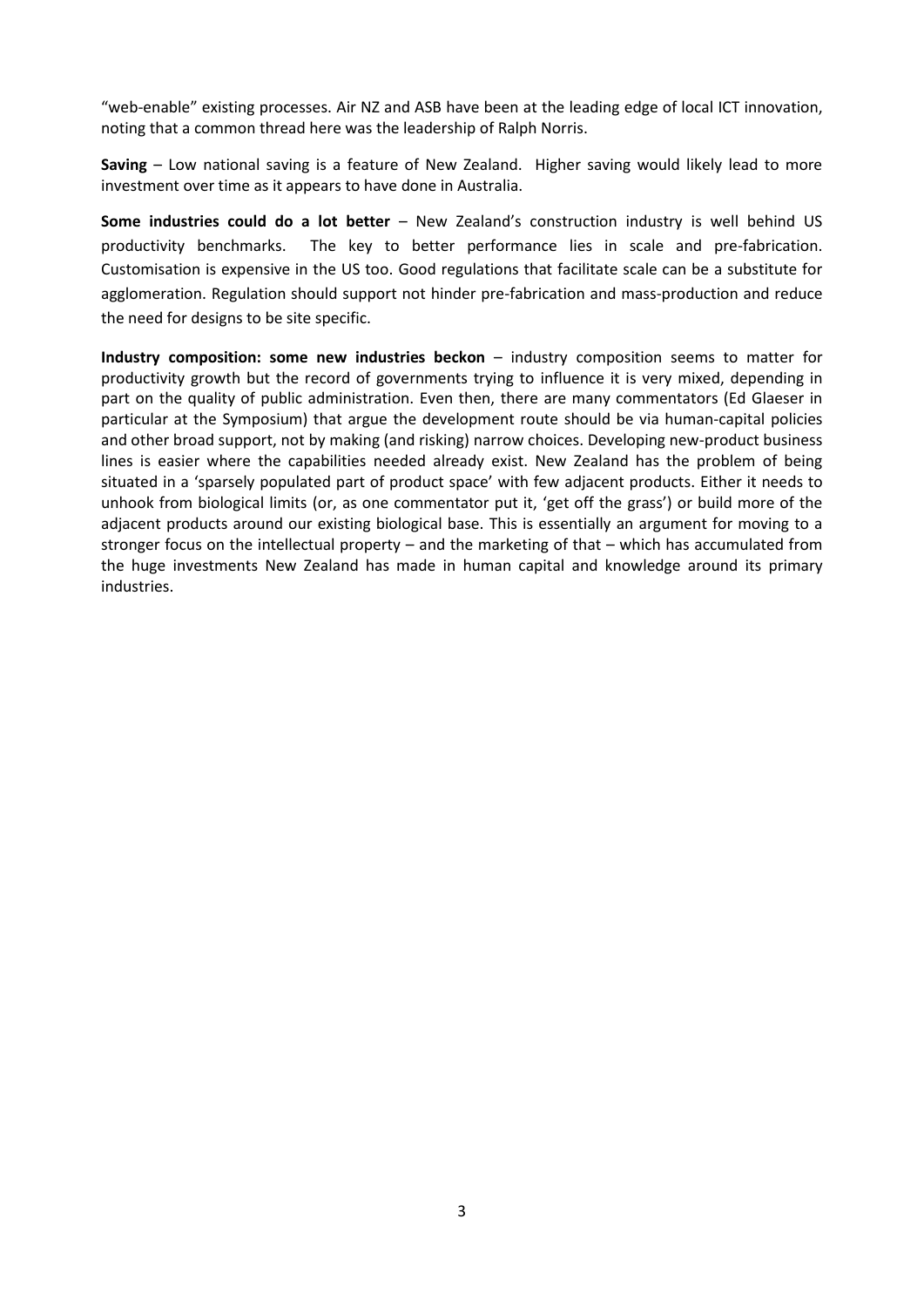"web-enable" existing processes. Air NZ and ASB have been at the leading edge of local ICT innovation, noting that a common thread here was the leadership of Ralph Norris.

**Saving** – Low national saving is a feature of New Zealand. Higher saving would likely lead to more investment over time as it appears to have done in Australia.

**Some industries could do a lot better** – New Zealand's construction industry is well behind US productivity benchmarks. The key to better performance lies in scale and pre-fabrication. Customisation is expensive in the US too. Good regulations that facilitate scale can be a substitute for agglomeration. Regulation should support not hinder pre-fabrication and mass-production and reduce the need for designs to be site specific.

**Industry composition: some new industries beckon** – industry composition seems to matter for productivity growth but the record of governments trying to influence it is very mixed, depending in part on the quality of public administration. Even then, there are many commentators (Ed Glaeser in particular at the Symposium) that argue the development route should be via human-capital policies and other broad support, not by making (and risking) narrow choices. Developing new-product business lines is easier where the capabilities needed already exist. New Zealand has the problem of being situated in a 'sparsely populated part of product space' with few adjacent products. Either it needs to unhook from biological limits (or, as one commentator put it, 'get off the grass') or build more of the adjacent products around our existing biological base. This is essentially an argument for moving to a stronger focus on the intellectual property – and the marketing of that – which has accumulated from the huge investments New Zealand has made in human capital and knowledge around its primary industries.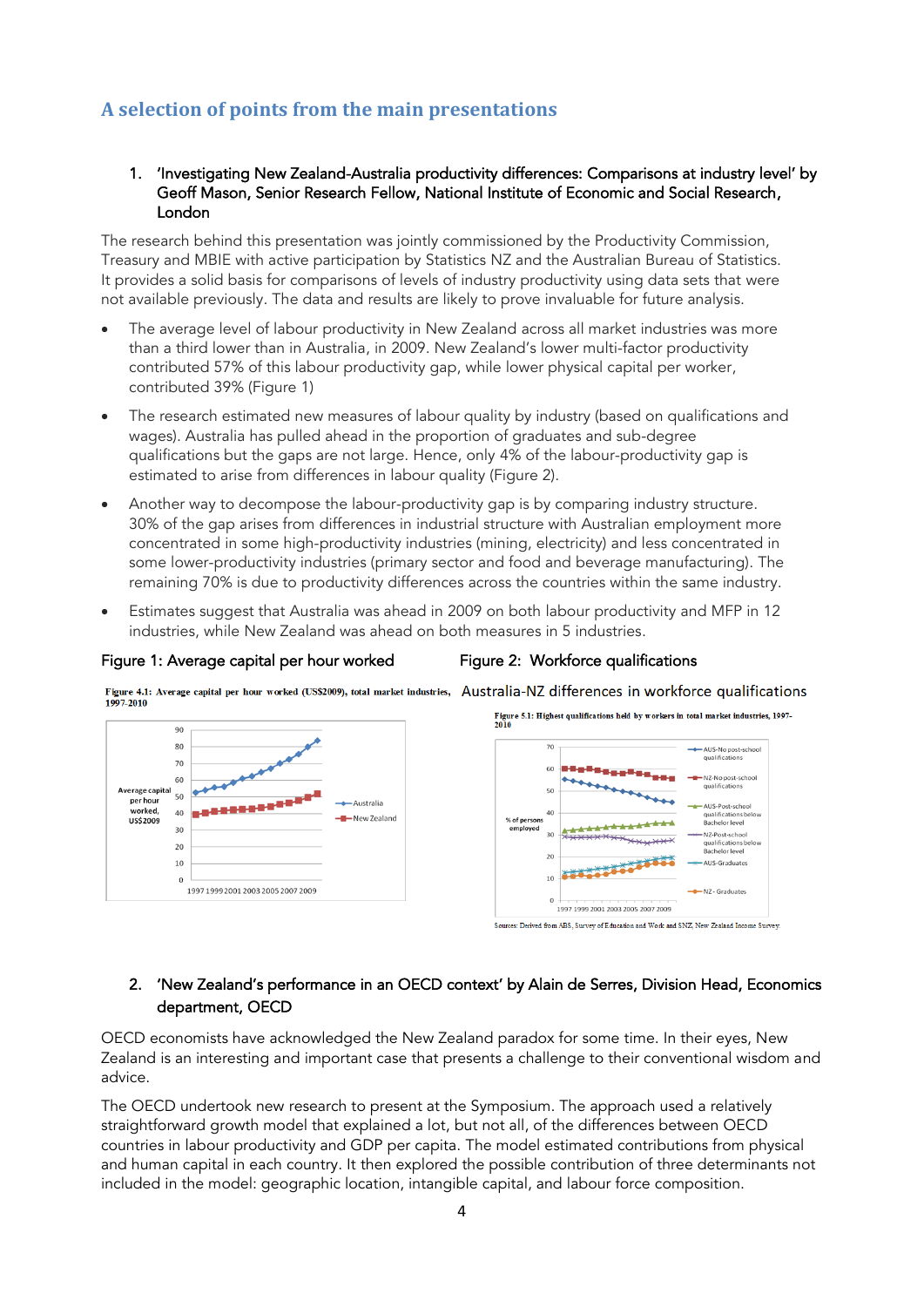# **A selection of points from the main presentations**

### 1. 'Investigating New Zealand-Australia productivity differences: Comparisons at industry level' by Geoff Mason, Senior Research Fellow, National Institute of Economic and Social Research, London

The research behind this presentation was jointly commissioned by the Productivity Commission, Treasury and MBIE with active participation by Statistics NZ and the Australian Bureau of Statistics. It provides a solid basis for comparisons of levels of industry productivity using data sets that were not available previously. The data and results are likely to prove invaluable for future analysis.

- The average level of labour productivity in New Zealand across all market industries was more than a third lower than in Australia, in 2009. New Zealand's lower multi-factor productivity contributed 57% of this labour productivity gap, while lower physical capital per worker, contributed 39% (Figure 1)
- The research estimated new measures of labour quality by industry (based on qualifications and wages). Australia has pulled ahead in the proportion of graduates and sub-degree qualifications but the gaps are not large. Hence, only 4% of the labour-productivity gap is estimated to arise from differences in labour quality (Figure 2).
- Another way to decompose the labour-productivity gap is by comparing industry structure. 30% of the gap arises from differences in industrial structure with Australian employment more concentrated in some high-productivity industries (mining, electricity) and less concentrated in some lower-productivity industries (primary sector and food and beverage manufacturing). The remaining 70% is due to productivity differences across the countries within the same industry.
- Estimates suggest that Australia was ahead in 2009 on both labour productivity and MFP in 12 industries, while New Zealand was ahead on both measures in 5 industries.



Figure 4.1: Average capital per hour worked (US\$2009), total market industries, Australia-NZ differences in workforce qualifications



- AUS-No post-schoo

--<br>---<br>NZ-No post-school

-<br>AUS-Post-school

qualification:<br>Rachelor leve

NZ-Post-school qualifications below

Bachelor level

-<br>- NZ - Graduates

AUS-Graduates

## 2. 'New Zealand's performance in an OECD context' by Alain de Serres, Division Head, Economics department, OECD

OECD economists have acknowledged the New Zealand paradox for some time. In their eyes, New Zealand is an interesting and important case that presents a challenge to their conventional wisdom and advice.

The OECD undertook new research to present at the Symposium. The approach used a relatively straightforward growth model that explained a lot, but not all, of the differences between OECD countries in labour productivity and GDP per capita. The model estimated contributions from physical and human capital in each country. It then explored the possible contribution of three determinants not included in the model: geographic location, intangible capital, and labour force composition.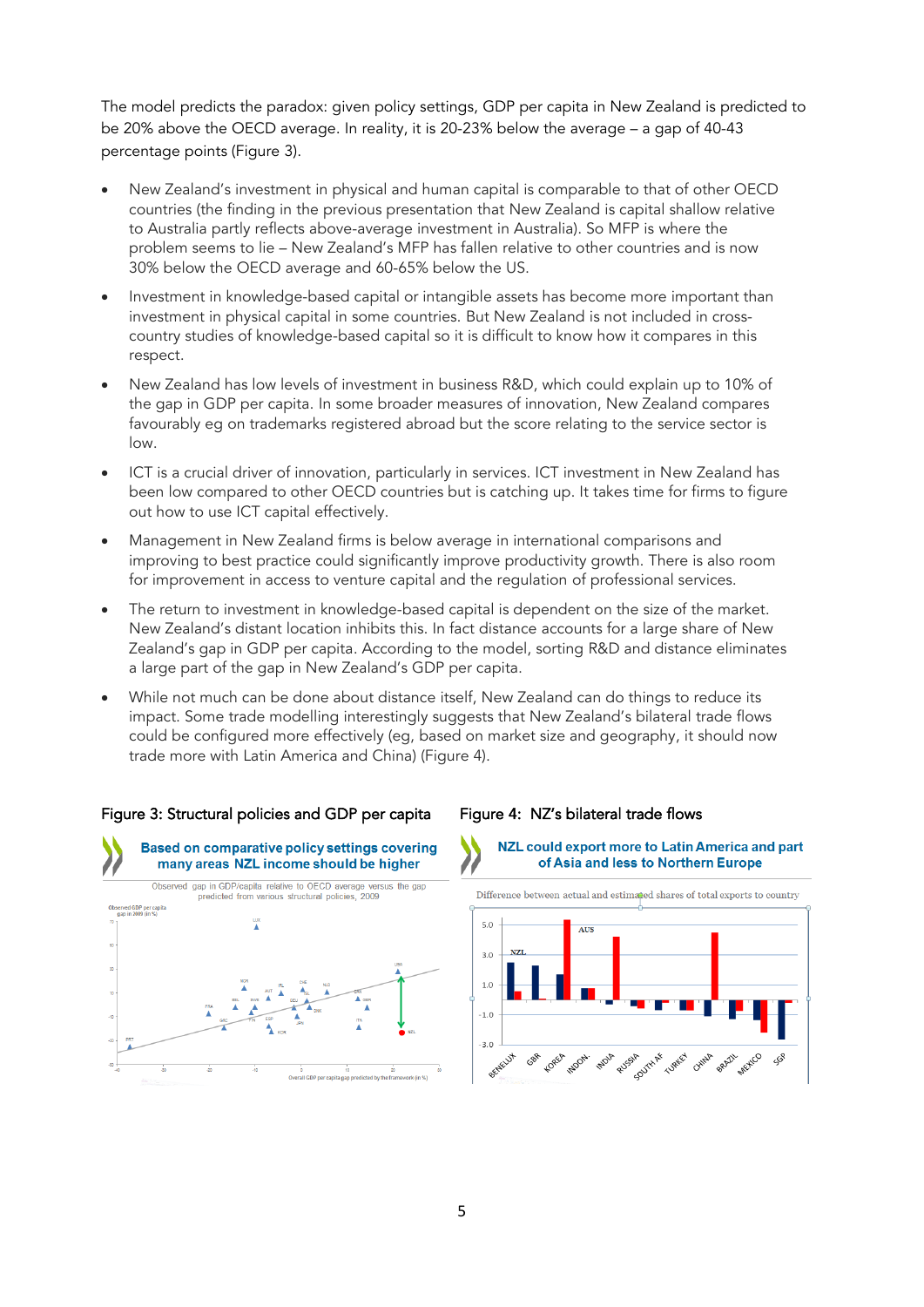The model predicts the paradox: given policy settings, GDP per capita in New Zealand is predicted to be 20% above the OECD average. In reality, it is 20-23% below the average – a gap of 40-43 percentage points (Figure 3).

- New Zealand's investment in physical and human capital is comparable to that of other OECD countries (the finding in the previous presentation that New Zealand is capital shallow relative to Australia partly reflects above-average investment in Australia). So MFP is where the problem seems to lie – New Zealand's MFP has fallen relative to other countries and is now 30% below the OECD average and 60-65% below the US.
- Investment in knowledge-based capital or intangible assets has become more important than investment in physical capital in some countries. But New Zealand is not included in crosscountry studies of knowledge-based capital so it is difficult to know how it compares in this respect.
- New Zealand has low levels of investment in business R&D, which could explain up to 10% of the gap in GDP per capita. In some broader measures of innovation, New Zealand compares favourably eg on trademarks registered abroad but the score relating to the service sector is low.
- ICT is a crucial driver of innovation, particularly in services. ICT investment in New Zealand has been low compared to other OECD countries but is catching up. It takes time for firms to figure out how to use ICT capital effectively.
- Management in New Zealand firms is below average in international comparisons and improving to best practice could significantly improve productivity growth. There is also room for improvement in access to venture capital and the regulation of professional services.
- The return to investment in knowledge-based capital is dependent on the size of the market. New Zealand's distant location inhibits this. In fact distance accounts for a large share of New Zealand's gap in GDP per capita. According to the model, sorting R&D and distance eliminates a large part of the gap in New Zealand's GDP per capita.
- While not much can be done about distance itself, New Zealand can do things to reduce its impact. Some trade modelling interestingly suggests that New Zealand's bilateral trade flows could be configured more effectively (eg, based on market size and geography, it should now trade more with Latin America and China) (Figure 4).

### Figure 3: Structural policies and GDP per capita Figure 4: NZ's bilateral trade flows





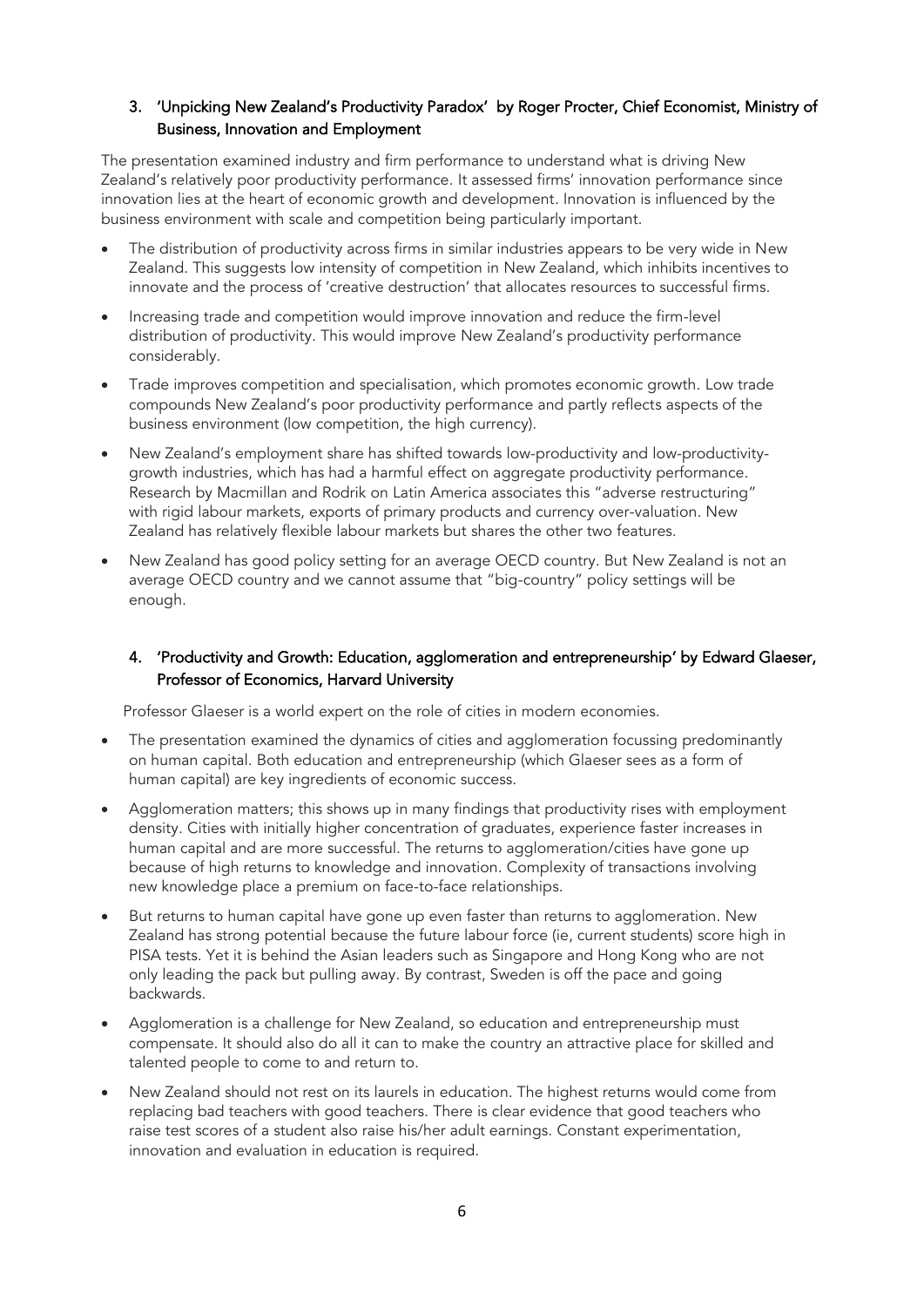### 3. 'Unpicking New Zealand's Productivity Paradox' by Roger Procter, Chief Economist, Ministry of Business, Innovation and Employment

The presentation examined industry and firm performance to understand what is driving New Zealand's relatively poor productivity performance. It assessed firms' innovation performance since innovation lies at the heart of economic growth and development. Innovation is influenced by the business environment with scale and competition being particularly important.

- The distribution of productivity across firms in similar industries appears to be very wide in New Zealand. This suggests low intensity of competition in New Zealand, which inhibits incentives to innovate and the process of 'creative destruction' that allocates resources to successful firms.
- Increasing trade and competition would improve innovation and reduce the firm-level distribution of productivity. This would improve New Zealand's productivity performance considerably.
- Trade improves competition and specialisation, which promotes economic growth. Low trade compounds New Zealand's poor productivity performance and partly reflects aspects of the business environment (low competition, the high currency).
- New Zealand's employment share has shifted towards low-productivity and low-productivitygrowth industries, which has had a harmful effect on aggregate productivity performance. Research by Macmillan and Rodrik on Latin America associates this "adverse restructuring" with rigid labour markets, exports of primary products and currency over-valuation. New Zealand has relatively flexible labour markets but shares the other two features.
- New Zealand has good policy setting for an average OECD country. But New Zealand is not an average OECD country and we cannot assume that "big-country" policy settings will be enough.

## 4. 'Productivity and Growth: Education, agglomeration and entrepreneurship' by Edward Glaeser, Professor of Economics, Harvard University

Professor Glaeser is a world expert on the role of cities in modern economies.

- The presentation examined the dynamics of cities and agglomeration focussing predominantly on human capital. Both education and entrepreneurship (which Glaeser sees as a form of human capital) are key ingredients of economic success.
- Agglomeration matters; this shows up in many findings that productivity rises with employment density. Cities with initially higher concentration of graduates, experience faster increases in human capital and are more successful. The returns to agglomeration/cities have gone up because of high returns to knowledge and innovation. Complexity of transactions involving new knowledge place a premium on face-to-face relationships.
- But returns to human capital have gone up even faster than returns to agglomeration. New Zealand has strong potential because the future labour force (ie, current students) score high in PISA tests. Yet it is behind the Asian leaders such as Singapore and Hong Kong who are not only leading the pack but pulling away. By contrast, Sweden is off the pace and going backwards.
- Agglomeration is a challenge for New Zealand, so education and entrepreneurship must compensate. It should also do all it can to make the country an attractive place for skilled and talented people to come to and return to.
- New Zealand should not rest on its laurels in education. The highest returns would come from replacing bad teachers with good teachers. There is clear evidence that good teachers who raise test scores of a student also raise his/her adult earnings. Constant experimentation, innovation and evaluation in education is required.